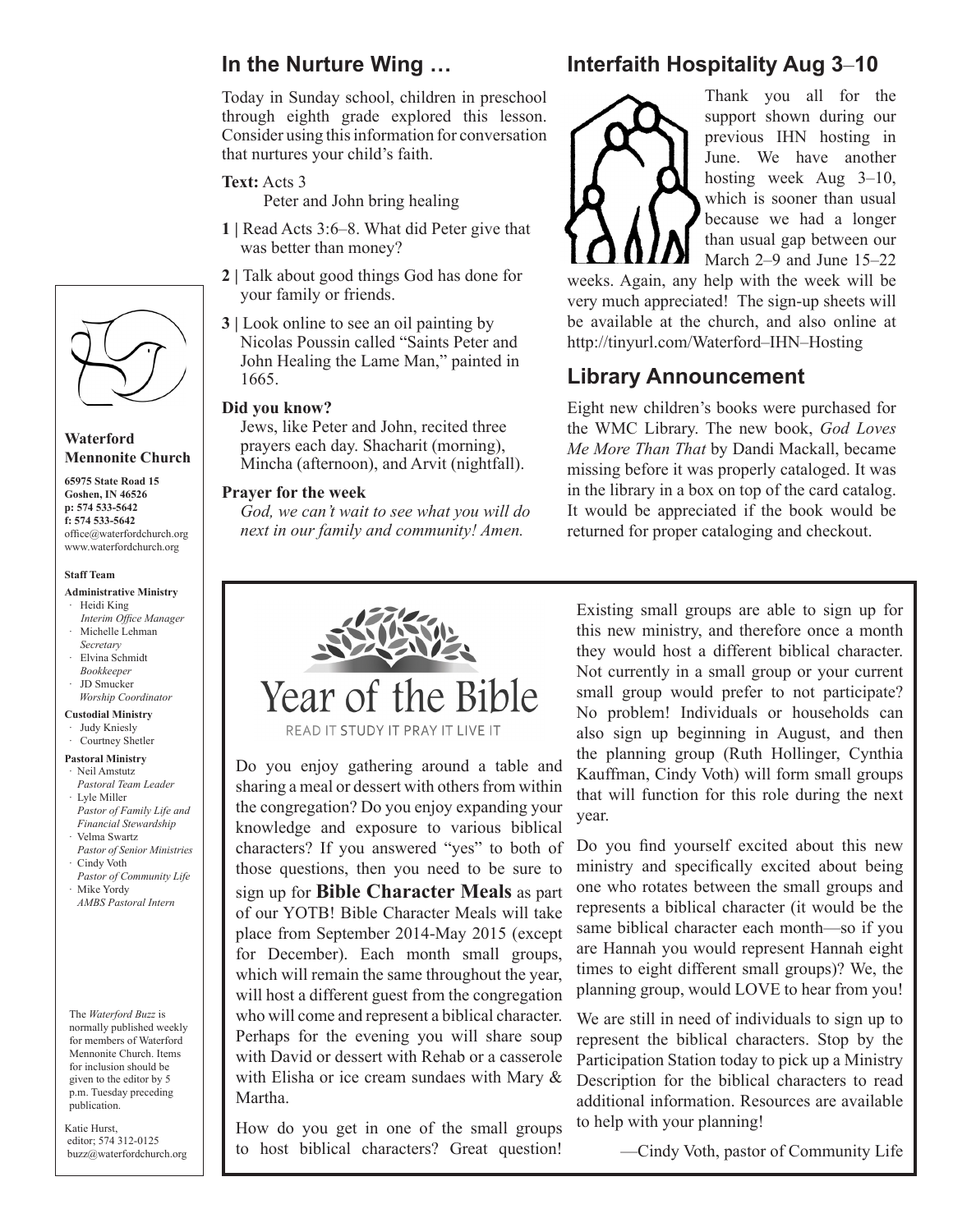## **In the Nurture Wing …**

Today in Sunday school, children in preschool through eighth grade explored this lesson. Consider using this information for conversation that nurtures your child's faith.

**Text:** Acts 3

Peter and John bring healing

- **1 |** Read Acts 3:6–8. What did Peter give that was better than money?
- **2 |** Talk about good things God has done for your family or friends.
- **3** | Look online to see an oil painting by Nicolas Poussin called "Saints Peter and John Healing the Lame Man," painted in 1665.

#### **Did you know?**

Jews, like Peter and John, recited three prayers each day. Shacharit (morning), Mincha (afternoon), and Arvit (nightfall).

#### **Prayer for the week**

*God, we can't wait to see what you will do next in our family and community! Amen.*

## **Interfaith Hospitality Aug 3**–**10**



Thank you all for the support shown during our previous IHN hosting in June. We have another hosting week Aug 3–10, which is sooner than usual because we had a longer than usual gap between our March 2–9 and June 15–22

weeks. Again, any help with the week will be very much appreciated! The sign-up sheets will be available at the church, and also online at http://tinyurl.com/Waterford–IHN–Hosting

### **Library Announcement**

Eight new children's books were purchased for the WMC Library. The new book, *God Loves Me More Than That* by Dandi Mackall, became missing before it was properly cataloged. It was in the library in a box on top of the card catalog. It would be appreciated if the book would be returned for proper cataloging and checkout.



Do you enjoy gathering around a table and sharing a meal or dessert with others from within the congregation? Do you enjoy expanding your knowledge and exposure to various biblical characters? If you answered "yes" to both of those questions, then you need to be sure to sign up for **Bible Character Meals** as part of our YOTB! Bible Character Meals will take place from September 2014-May 2015 (except for December). Each month small groups, which will remain the same throughout the year, will host a different guest from the congregation who will come and represent a biblical character. Perhaps for the evening you will share soup with David or dessert with Rehab or a casserole with Elisha or ice cream sundaes with Mary & Martha.

How do you get in one of the small groups to host biblical characters? Great question!

Existing small groups are able to sign up for this new ministry, and therefore once a month they would host a different biblical character. Not currently in a small group or your current small group would prefer to not participate? No problem! Individuals or households can also sign up beginning in August, and then the planning group (Ruth Hollinger, Cynthia Kauffman, Cindy Voth) will form small groups that will function for this role during the next year.

Do you find yourself excited about this new ministry and specifically excited about being one who rotates between the small groups and represents a biblical character (it would be the same biblical character each month—so if you are Hannah you would represent Hannah eight times to eight different small groups)? We, the planning group, would LOVE to hear from you!

We are still in need of individuals to sign up to represent the biblical characters. Stop by the Participation Station today to pick up a Ministry Description for the biblical characters to read additional information. Resources are available to help with your planning!

—Cindy Voth, pastor of Community Life



#### **Waterford Mennonite Church**

**65975 State Road 15 Goshen, IN 46526 p: 574 533-5642 f: 574 533-5642** office@waterfordchurch.org www.waterfordchurch.org

#### **Staff Team**

#### **Administrative Ministry** · Heidi King

- *Interim Office Manager* Michelle Lehman
- *Secretary* · Elvina Schmidt
- *Bookkeeper*
- · JD Smucker  *Worship Coordinator*
- **Custodial Ministry**
- · Judy Kniesly

#### · Courtney Shetler

- **Pastoral Ministry** Neil Amstutz
- *Pastoral Team Leader* · Lyle Miller  *Pastor of Family Life and*
- *Financial Stewardship* · Velma Swartz
- *Pastor of Senior Ministries* Cindy Voth
- *Pastor of Community Life* · Mike Yordy
- *AMBS Pastoral Intern*

The *Waterford Buzz* is normally published weekly for members of Waterford Mennonite Church. Items for inclusion should be given to the editor by 5 p.m. Tuesday preceding publication.

Katie Hurst, editor; 574 312-0125 buzz@waterfordchurch.org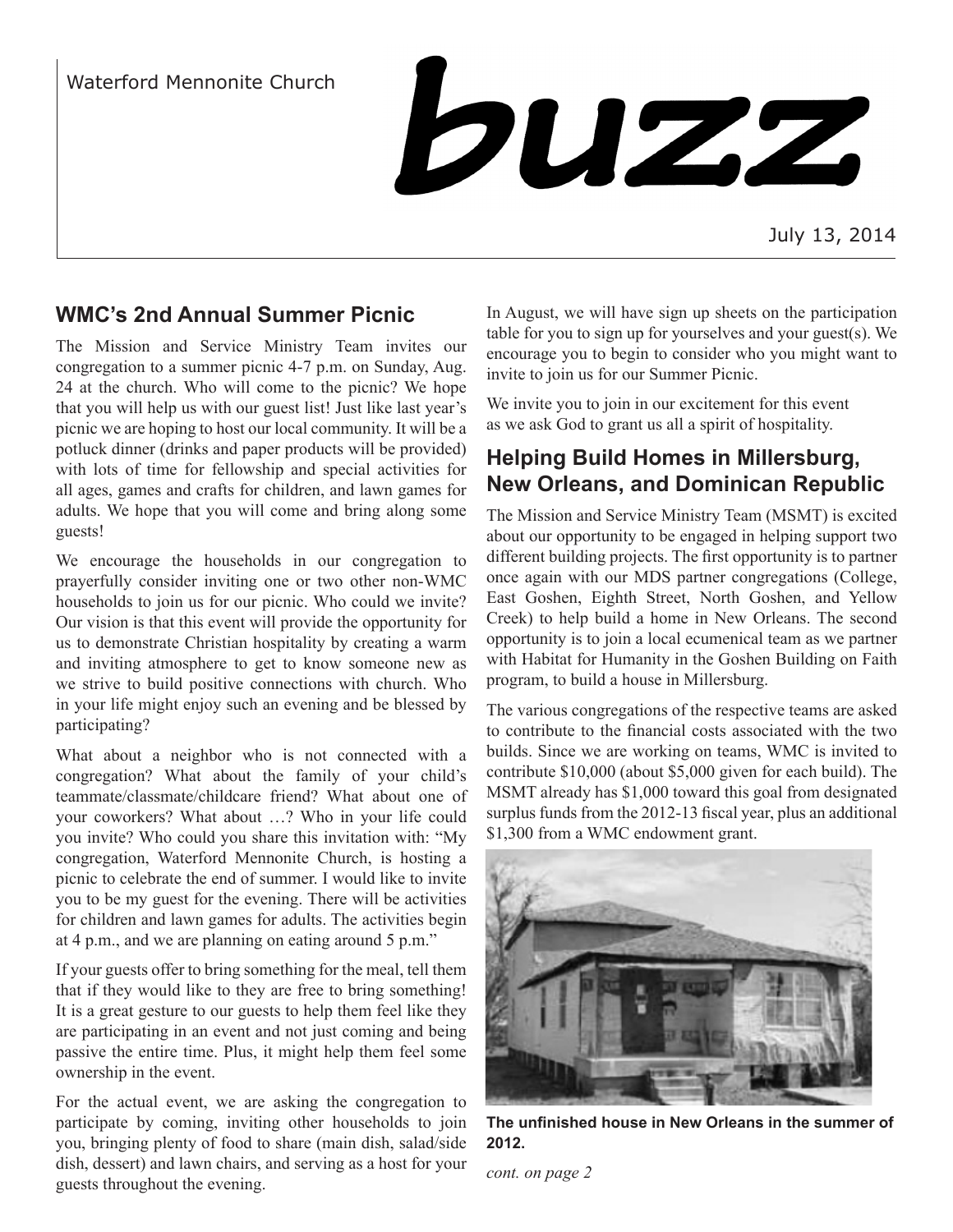## Waterford Mennonite Church



July 13, 2014

## **WMC's 2nd Annual Summer Picnic**

The Mission and Service Ministry Team invites our congregation to a summer picnic 4-7 p.m. on Sunday, Aug. 24 at the church. Who will come to the picnic? We hope that you will help us with our guest list! Just like last year's picnic we are hoping to host our local community. It will be a potluck dinner (drinks and paper products will be provided) with lots of time for fellowship and special activities for all ages, games and crafts for children, and lawn games for adults. We hope that you will come and bring along some guests!

We encourage the households in our congregation to prayerfully consider inviting one or two other non-WMC households to join us for our picnic. Who could we invite? Our vision is that this event will provide the opportunity for us to demonstrate Christian hospitality by creating a warm and inviting atmosphere to get to know someone new as we strive to build positive connections with church. Who in your life might enjoy such an evening and be blessed by participating?

What about a neighbor who is not connected with a congregation? What about the family of your child's teammate/classmate/childcare friend? What about one of your coworkers? What about …? Who in your life could you invite? Who could you share this invitation with: "My congregation, Waterford Mennonite Church, is hosting a picnic to celebrate the end of summer. I would like to invite you to be my guest for the evening. There will be activities for children and lawn games for adults. The activities begin at 4 p.m., and we are planning on eating around 5 p.m."

If your guests offer to bring something for the meal, tell them that if they would like to they are free to bring something! It is a great gesture to our guests to help them feel like they are participating in an event and not just coming and being passive the entire time. Plus, it might help them feel some ownership in the event.

For the actual event, we are asking the congregation to participate by coming, inviting other households to join you, bringing plenty of food to share (main dish, salad/side dish, dessert) and lawn chairs, and serving as a host for your guests throughout the evening.

In August, we will have sign up sheets on the participation table for you to sign up for yourselves and your guest(s). We encourage you to begin to consider who you might want to invite to join us for our Summer Picnic.

We invite you to join in our excitement for this event as we ask God to grant us all a spirit of hospitality.

## **Helping Build Homes in Millersburg, New Orleans, and Dominican Republic**

The Mission and Service Ministry Team (MSMT) is excited about our opportunity to be engaged in helping support two different building projects. The first opportunity is to partner once again with our MDS partner congregations (College, East Goshen, Eighth Street, North Goshen, and Yellow Creek) to help build a home in New Orleans. The second opportunity is to join a local ecumenical team as we partner with Habitat for Humanity in the Goshen Building on Faith program, to build a house in Millersburg.

The various congregations of the respective teams are asked to contribute to the financial costs associated with the two builds. Since we are working on teams, WMC is invited to contribute \$10,000 (about \$5,000 given for each build). The MSMT already has \$1,000 toward this goal from designated surplus funds from the 2012-13 fiscal year, plus an additional \$1,300 from a WMC endowment grant.



**The unfinished house in New Orleans in the summer of 2012.**

*cont. on page 2*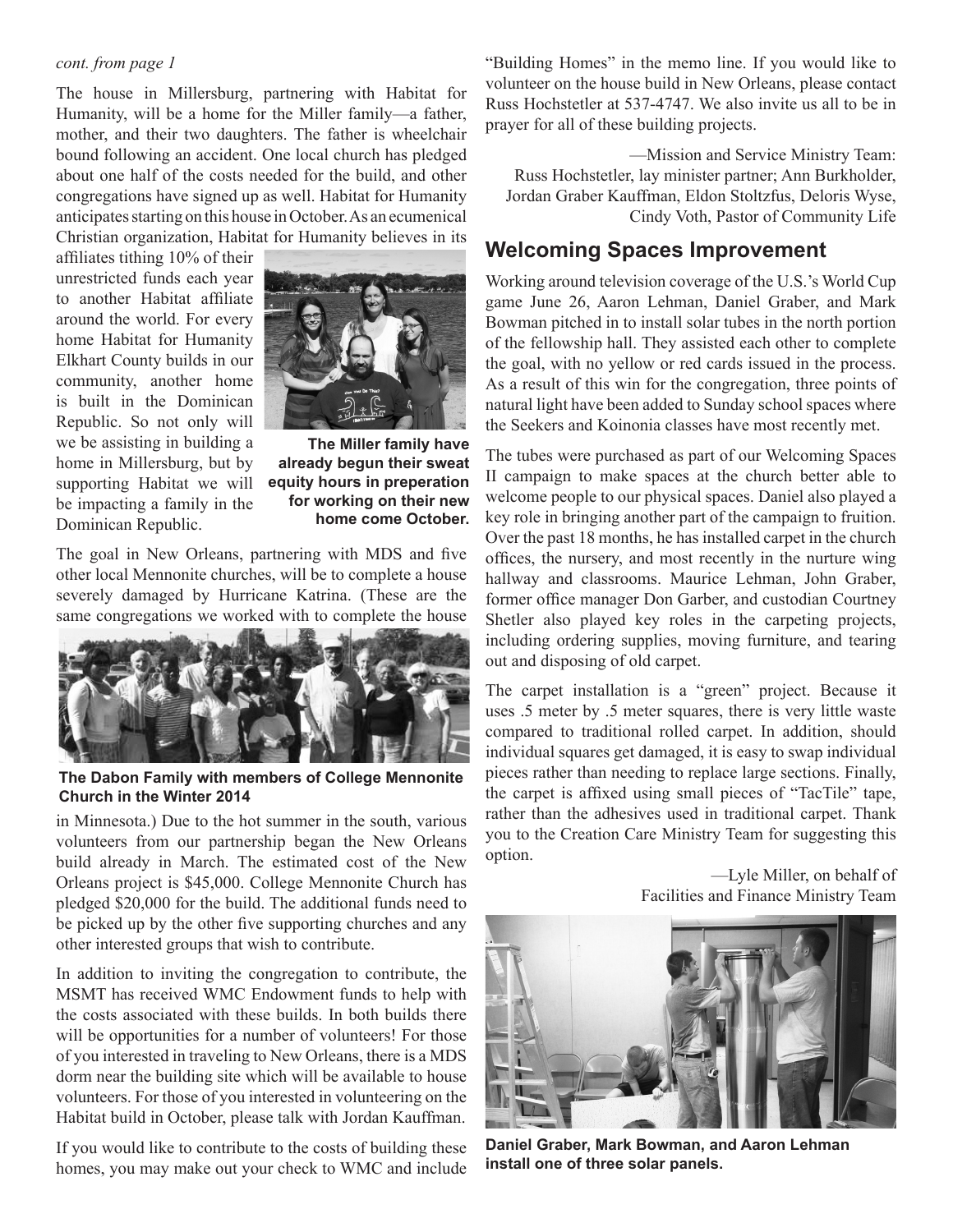#### *cont. from page 1*

The house in Millersburg, partnering with Habitat for Humanity, will be a home for the Miller family—a father, mother, and their two daughters. The father is wheelchair bound following an accident. One local church has pledged about one half of the costs needed for the build, and other congregations have signed up as well. Habitat for Humanity anticipates starting on this house in October. As an ecumenical Christian organization, Habitat for Humanity believes in its

affiliates tithing 10% of their unrestricted funds each year to another Habitat affiliate around the world. For every home Habitat for Humanity Elkhart County builds in our community, another home is built in the Dominican Republic. So not only will we be assisting in building a home in Millersburg, but by supporting Habitat we will be impacting a family in the Dominican Republic.



**The Miller family have already begun their sweat equity hours in preperation for working on their new home come October.**

The goal in New Orleans, partnering with MDS and five other local Mennonite churches, will be to complete a house severely damaged by Hurricane Katrina. (These are the same congregations we worked with to complete the house



**The Dabon Family with members of College Mennonite Church in the Winter 2014**

in Minnesota.) Due to the hot summer in the south, various volunteers from our partnership began the New Orleans build already in March. The estimated cost of the New Orleans project is \$45,000. College Mennonite Church has pledged \$20,000 for the build. The additional funds need to be picked up by the other five supporting churches and any other interested groups that wish to contribute.

In addition to inviting the congregation to contribute, the MSMT has received WMC Endowment funds to help with the costs associated with these builds. In both builds there will be opportunities for a number of volunteers! For those of you interested in traveling to New Orleans, there is a MDS dorm near the building site which will be available to house volunteers. For those of you interested in volunteering on the Habitat build in October, please talk with Jordan Kauffman.

If you would like to contribute to the costs of building these homes, you may make out your check to WMC and include "Building Homes" in the memo line. If you would like to volunteer on the house build in New Orleans, please contact Russ Hochstetler at 537-4747. We also invite us all to be in prayer for all of these building projects.

—Mission and Service Ministry Team: Russ Hochstetler, lay minister partner; Ann Burkholder, Jordan Graber Kauffman, Eldon Stoltzfus, Deloris Wyse, Cindy Voth, Pastor of Community Life

### **Welcoming Spaces Improvement**

Working around television coverage of the U.S.'s World Cup game June 26, Aaron Lehman, Daniel Graber, and Mark Bowman pitched in to install solar tubes in the north portion of the fellowship hall. They assisted each other to complete the goal, with no yellow or red cards issued in the process. As a result of this win for the congregation, three points of natural light have been added to Sunday school spaces where the Seekers and Koinonia classes have most recently met.

The tubes were purchased as part of our Welcoming Spaces II campaign to make spaces at the church better able to welcome people to our physical spaces. Daniel also played a key role in bringing another part of the campaign to fruition. Over the past 18 months, he has installed carpet in the church offices, the nursery, and most recently in the nurture wing hallway and classrooms. Maurice Lehman, John Graber, former office manager Don Garber, and custodian Courtney Shetler also played key roles in the carpeting projects, including ordering supplies, moving furniture, and tearing out and disposing of old carpet.

The carpet installation is a "green" project. Because it uses .5 meter by .5 meter squares, there is very little waste compared to traditional rolled carpet. In addition, should individual squares get damaged, it is easy to swap individual pieces rather than needing to replace large sections. Finally, the carpet is affixed using small pieces of "TacTile" tape, rather than the adhesives used in traditional carpet. Thank you to the Creation Care Ministry Team for suggesting this option.

> —Lyle Miller, on behalf of Facilities and Finance Ministry Team



**Daniel Graber, Mark Bowman, and Aaron Lehman install one of three solar panels.**